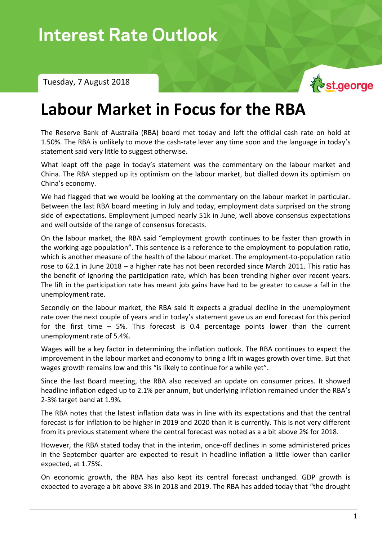Interest Rate Outlook – Tuesday, 7 August 2018

Tuesday, 7 August 2018



## **Labour Market in Focus for the RBA**

The Reserve Bank of Australia (RBA) board met today and left the official cash rate on hold at 1.50%. The RBA is unlikely to move the cash-rate lever any time soon and the language in today's statement said very little to suggest otherwise.

What leapt off the page in today's statement was the commentary on the labour market and China. The RBA stepped up its optimism on the labour market, but dialled down its optimism on China's economy.

We had flagged that we would be looking at the commentary on the labour market in particular. Between the last RBA board meeting in July and today, employment data surprised on the strong side of expectations. Employment jumped nearly 51k in June, well above consensus expectations and well outside of the range of consensus forecasts.

On the labour market, the RBA said "employment growth continues to be faster than growth in the working-age population". This sentence is a reference to the employment-to-population ratio, which is another measure of the health of the labour market. The employment-to-population ratio rose to 62.1 in June 2018 – a higher rate has not been recorded since March 2011. This ratio has the benefit of ignoring the participation rate, which has been trending higher over recent years. The lift in the participation rate has meant job gains have had to be greater to cause a fall in the unemployment rate.

Secondly on the labour market, the RBA said it expects a gradual decline in the unemployment rate over the next couple of years and in today's statement gave us an end forecast for this period for the first time – 5%. This forecast is 0.4 percentage points lower than the current unemployment rate of 5.4%.

Wages will be a key factor in determining the inflation outlook. The RBA continues to expect the improvement in the labour market and economy to bring a lift in wages growth over time. But that wages growth remains low and this "is likely to continue for a while yet".

Since the last Board meeting, the RBA also received an update on consumer prices. It showed headline inflation edged up to 2.1% per annum, but underlying inflation remained under the RBA's 2-3% target band at 1.9%.

The RBA notes that the latest inflation data was in line with its expectations and that the central forecast is for inflation to be higher in 2019 and 2020 than it is currently. This is not very different from its previous statement where the central forecast was noted as a a bit above 2% for 2018.

However, the RBA stated today that in the interim, once-off declines in some administered prices in the September quarter are expected to result in headline inflation a little lower than earlier expected, at 1.75%.

On economic growth, the RBA has also kept its central forecast unchanged. GDP growth is expected to average a bit above 3% in 2018 and 2019. The RBA has added today that "the drought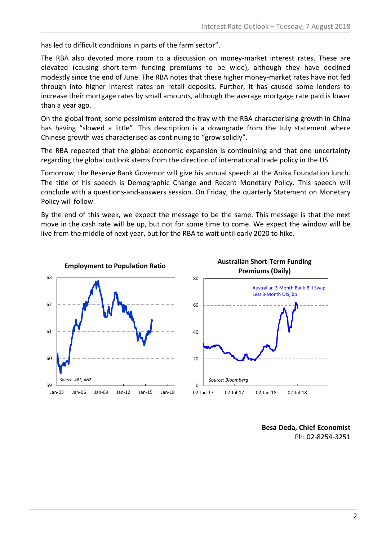has led to difficult conditions in parts of the farm sector".

The RBA also devoted more room to a discussion on money-market interest rates. These are elevated (causing short-term funding premiums to be wide), although they have declined modestly since the end of June. The RBA notes that these higher money-market rates have not fed through into higher interest rates on retail deposits. Further, it has caused some lenders to increase their mortgage rates by small amounts, although the average mortgage rate paid is lower than a year ago.

On the global front, some pessimism entered the fray with the RBA characterising growth in China has having "slowed a little". This description is a downgrade from the July statement where Chinese growth was characterised as continuing to "grow solidly".

The RBA repeated that the global economic expansion is continuining and that one uncertainty regarding the global outlook stems from the direction of international trade policy in the US.

Tomorrow, the Reserve Bank Governor will give his annual speech at the Anika Foundation lunch. The title of his speech is Demographic Change and Recent Monetary Policy. This speech will conclude with a questions-and-answers session. On Friday, the quarterly Statement on Monetary Policy will follow.

By the end of this week, we expect the message to be the same. This message is that the next move in the cash rate will be up, but not for some time to come. We expect the window will be live from the middle of next year, but for the RBA to wait until early 2020 to hike.





**Besa Deda, Chief Economist** Ph: 02-8254-3251